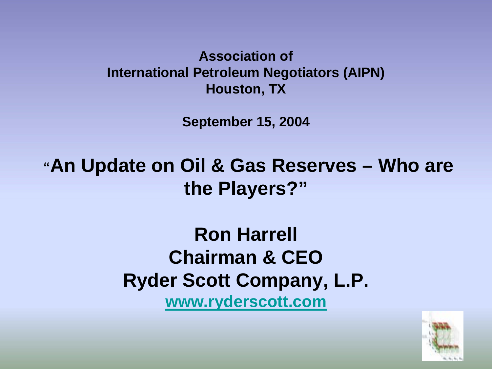#### **Association ofInternational Petroleum Negotiators (AIPN) Houston, TX**

**September 15, 2004**

**"An Update on Oil & Gas Reserves – Who are the Players?"**

> **Ron Harrell Chairman & CEO Ryder Scott Company, L.P. www.ryderscott.com**

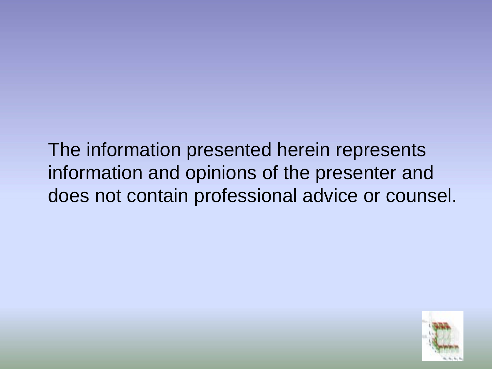The information presented herein represents information and opinions of the presenter and does not contain professional advice or counsel.

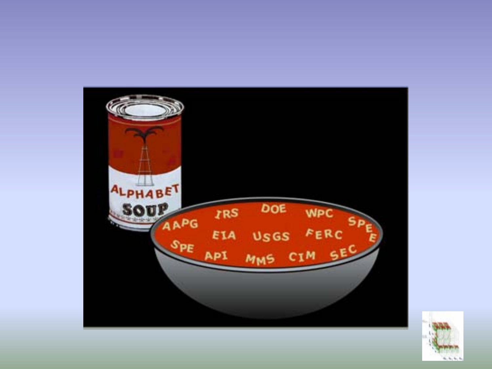

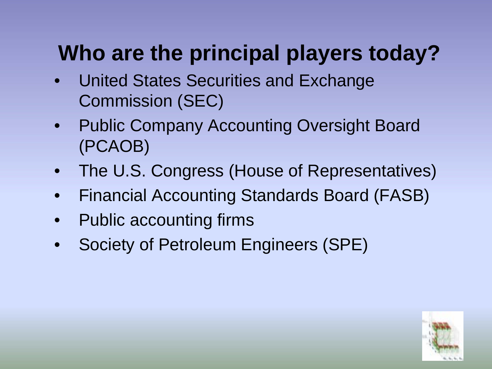# **Who are the principal players today?**

- $\bullet$  United States Securities and Exchange Commission (SEC)
- $\bullet$  Public Company Accounting Oversight Board (PCAOB)
- $\bullet$ The U.S. Congress (House of Representatives)
- •Financial Accounting Standards Board (FASB)
- •Public accounting firms
- •Society of Petroleum Engineers (SPE)

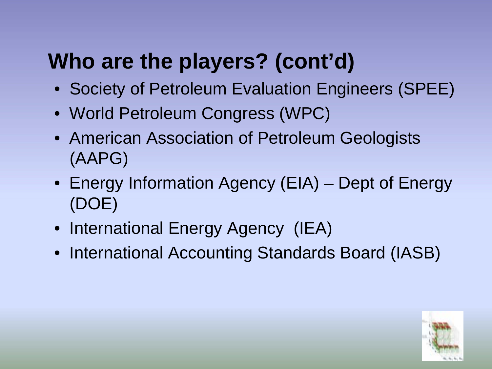# **Who are the players? (cont'd)**

- Society of Petroleum Evaluation Engineers (SPEE)
- World Petroleum Congress (WPC)
- American Association of Petroleum Geologists (AAPG)
- Energy Information Agency (EIA) Dept of Energy (DOE)
- International Energy Agency (IEA)
- International Accounting Standards Board (IASB)

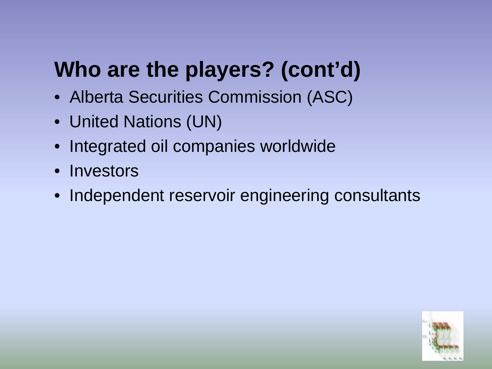# **Who are the players? (cont'd)**

- Alberta Securities Commission (ASC)
- United Nations (UN)
- Integrated oil companies worldwide
- Investors
- Independent reservoir engineering consultants

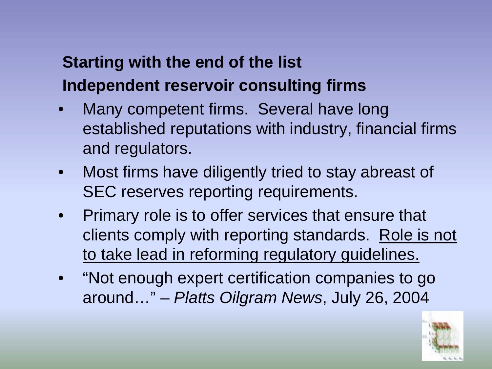## **Starting with the end of the list Independent reservoir consulting firms**

- $\bullet$  Many competent firms. Several have long established reputations with industry, financial firms and regulators.
- $\bullet$  Most firms have diligently tried to stay abreast of SEC reserves reporting requirements.
- • Primary role is to offer services that ensure that clients comply with reporting standards. Role is not to take lead in reforming regulatory guidelines.
- "Not enough expert certification companies to go around…" – *Platts Oilgram News*, July 26, 2004

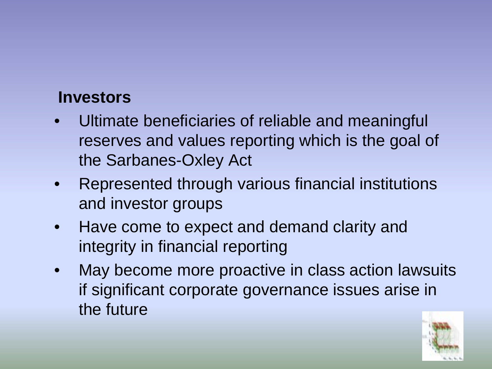#### **Investors**

- • Ultimate beneficiaries of reliable and meaningful reserves and values reporting which is the goal of the Sarbanes-Oxley Act
- • Represented through various financial institutions and investor groups
- • Have come to expect and demand clarity and integrity in financial reporting
- • May become more proactive in class action lawsuits if significant corporate governance issues arise in the future

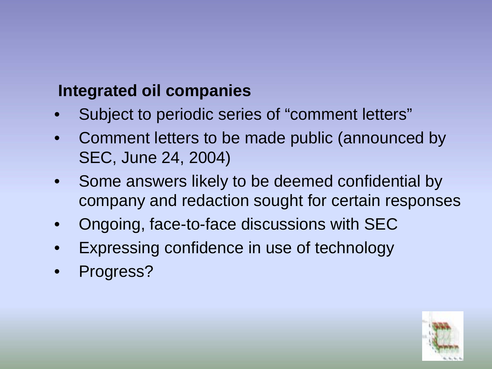### **Integrated oil companies**

- $\bullet$ Subject to periodic series of "comment letters"
- $\bullet$  Comment letters to be made public (announced by SEC, June 24, 2004)
- • Some answers likely to be deemed confidential by company and redaction sought for certain responses
- •Ongoing, face-to-face discussions with SEC
- •Expressing confidence in use of technology
- •Progress?

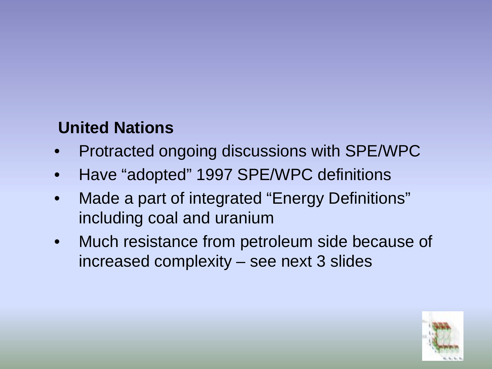### **United Nations**

- •Protracted ongoing discussions with SPE/WPC
- •Have "adopted" 1997 SPE/WPC definitions
- $\bullet$  Made a part of integrated "Energy Definitions" including coal and uranium
- $\bullet$  Much resistance from petroleum side because of increased complexity – see next 3 slides

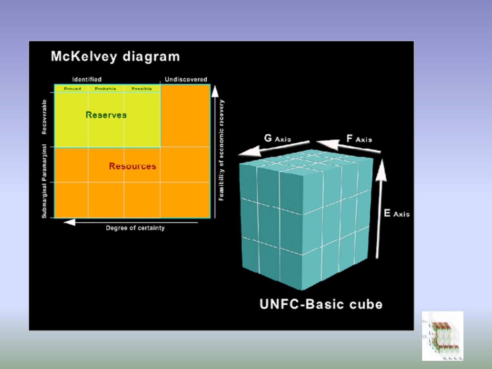

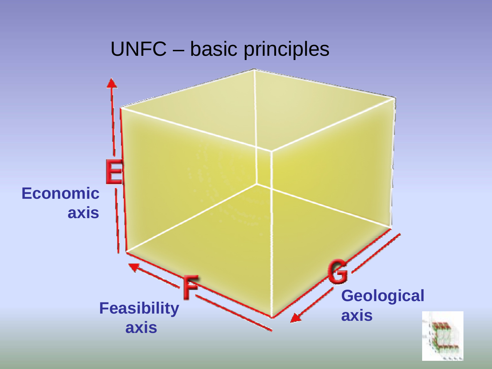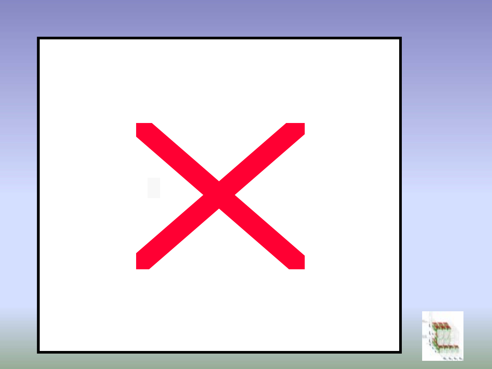

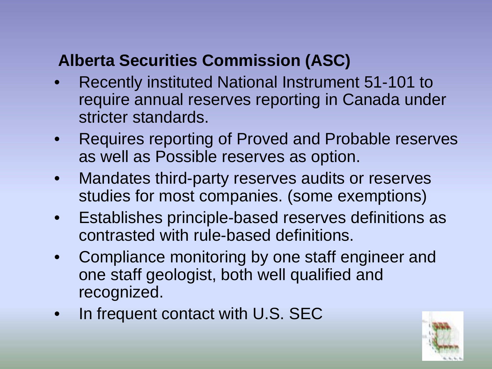## **Alberta Securities Commission (ASC)**

- $\bullet$  Recently instituted National Instrument 51-101 to require annual reserves reporting in Canada under stricter standards.
- • Requires reporting of Proved and Probable reserves as well as Possible reserves as option.
- • Mandates third-party reserves audits or reserves studies for most companies. (some exemptions)
- • Establishes principle-based reserves definitions as contrasted with rule-based definitions.
- Compliance monitoring by one staff engineer and one staff geologist, both well qualified and recognized.
- $\bullet$ In frequent contact with U.S. SEC

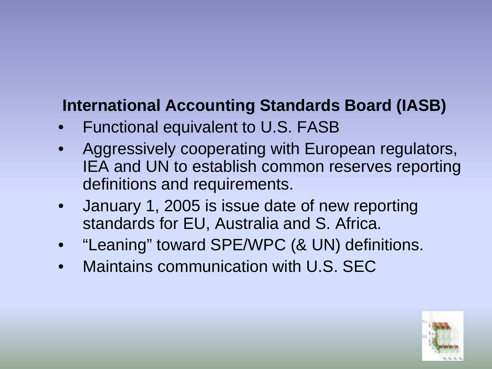## **International Accounting Standards Board (IASB)**

- $\bullet$ Functional equivalent to U.S. FASB
- • Aggressively cooperating with European regulators, IEA and UN to establish common reserves reporting definitions and requirements.
- • January 1, 2005 is issue date of new reporting standards for EU, Australia and S. Africa.
- •"Leaning" toward SPE/WPC (& UN) definitions.
- •Maintains communication with U.S. SEC

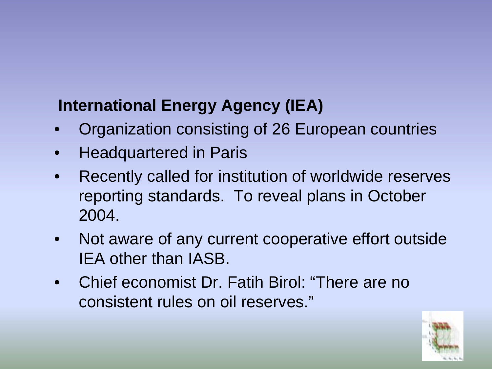## **International Energy Agency (IEA)**

- •Organization consisting of 26 European countries
- •Headquartered in Paris
- • Recently called for institution of worldwide reserves reporting standards. To reveal plans in October 2004.
- • Not aware of any current cooperative effort outside IEA other than IASB.
- Chief economist Dr. Fatih Birol: "There are no consistent rules on oil reserves."

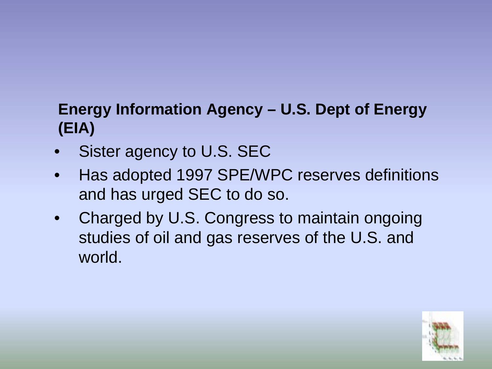## **Energy Information Agency – U.S. Dept of Energy (EIA)**

- •Sister agency to U.S. SEC
- • Has adopted 1997 SPE/WPC reserves definitions and has urged SEC to do so.
- Charged by U.S. Congress to maintain ongoing studies of oil and gas reserves of the U.S. and world.

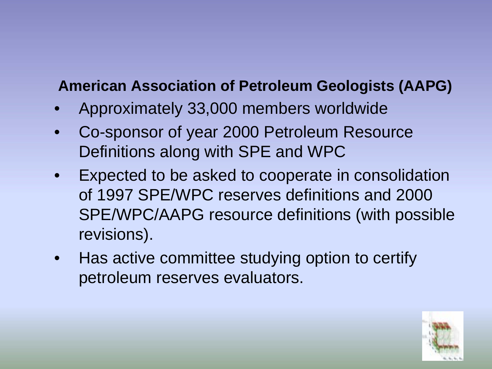#### **American Association of Petroleum Geologists (AAPG)**

- •Approximately 33,000 members worldwide
- • Co-sponsor of year 2000 Petroleum Resource Definitions along with SPE and WPC
- $\bullet$  Expected to be asked to cooperate in consolidation of 1997 SPE/WPC reserves definitions and 2000 SPE/WPC/AAPG resource definitions (with possible revisions).
- • Has active committee studying option to certify petroleum reserves evaluators.

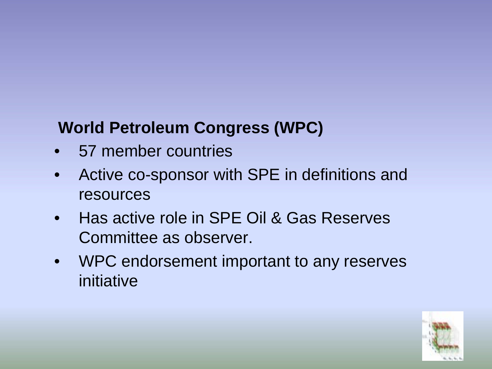## **World Petroleum Congress (WPC)**

- •57 member countries
- $\bullet$  Active co-sponsor with SPE in definitions and resources
- • Has active role in SPE Oil & Gas Reserves Committee as observer.
- WPC endorsement important to any reserves initiative

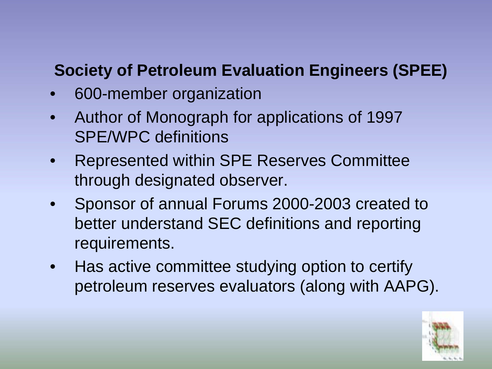### **Society of Petroleum Evaluation Engineers (SPEE)**

- $\bullet$ 600-member organization
- $\bullet$  Author of Monograph for applications of 1997 SPE/WPC definitions
- • Represented within SPE Reserves Committee through designated observer.
- • Sponsor of annual Forums 2000-2003 created to better understand SEC definitions and reporting requirements.
- $\bullet$  Has active committee studying option to certify petroleum reserves evaluators (along with AAPG).

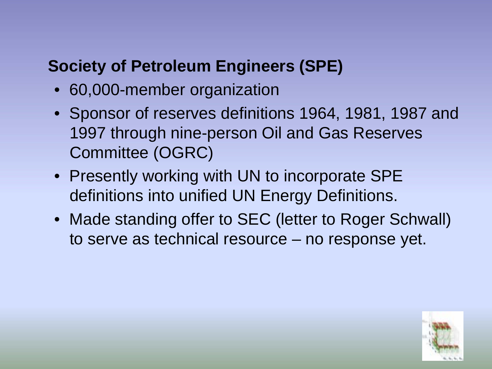#### **Society of Petroleum Engineers (SPE)**

- 60,000-member organization
- Sponsor of reserves definitions 1964, 1981, 1987 and 1997 through nine-person Oil and Gas Reserves Committee (OGRC)
- Presently working with UN to incorporate SPE definitions into unified UN Energy Definitions.
- Made standing offer to SEC (letter to Roger Schwall) to serve as technical resource – no response yet.

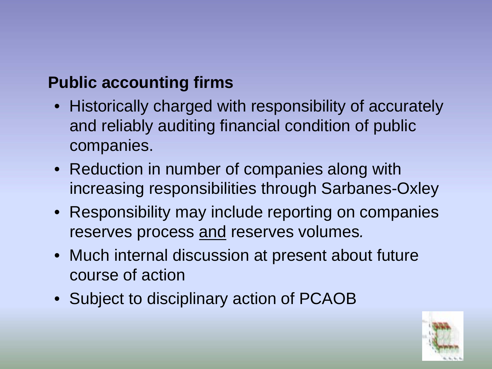## **Public accounting firms**

- Historically charged with responsibility of accurately and reliably auditing financial condition of public companies.
- Reduction in number of companies along with increasing responsibilities through Sarbanes-Oxley
- Responsibility may include reporting on companies reserves process and reserves volumes*.*
- Much internal discussion at present about future course of action
- Subject to disciplinary action of PCAOB

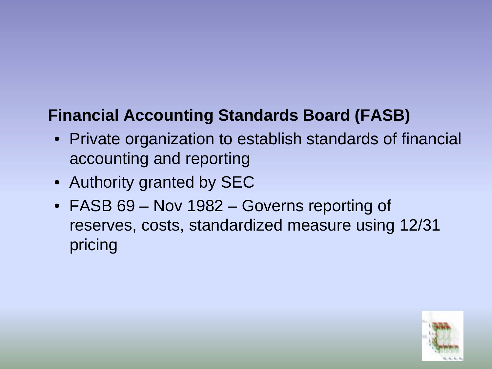## **Financial Accounting Standards Board (FASB)**

- Private organization to establish standards of financial accounting and reporting
- Authority granted by SEC
- FASB 69 Nov 1982 Governs reporting of reserves, costs, standardized measure using 12/31 pricing

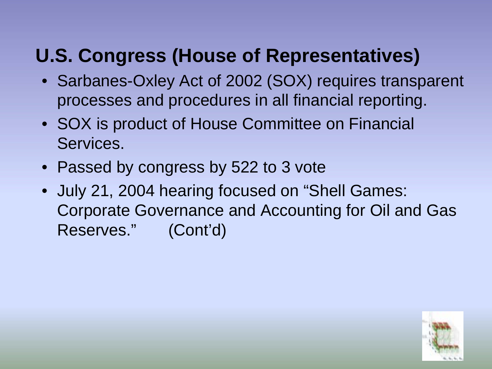## **U.S. Congress (House of Representatives)**

- Sarbanes-Oxley Act of 2002 (SOX) requires transparent processes and procedures in all financial reporting.
- SOX is product of House Committee on Financial Services.
- Passed by congress by 522 to 3 vote
- July 21, 2004 hearing focused on "Shell Games: Corporate Governance and Accounting for Oil and Gas Reserves." (Cont'd)

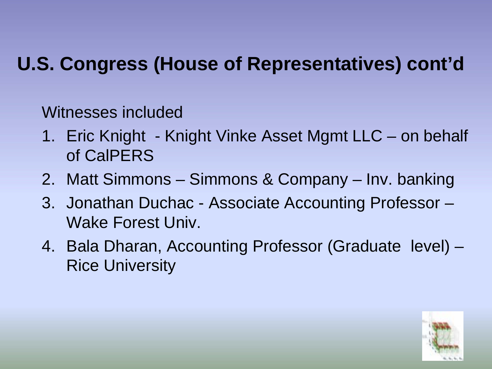## **U.S. Congress (House of Representatives) cont'd**

#### Witnesses included

- 1. Eric Knight Knight Vinke Asset Mgmt LLC on behalf of CalPERS
- 2. Matt Simmons Simmons & Company Inv. banking
- 3. Jonathan Duchac Associate Accounting Professor Wake Forest Univ.
- 4. Bala Dharan, Accounting Professor (Graduate level) Rice University

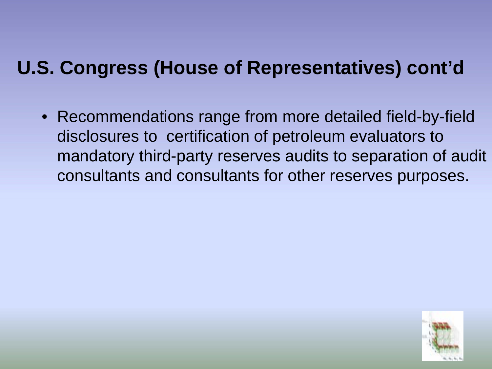## **U.S. Congress (House of Representatives) cont'd**

• Recommendations range from more detailed field-by-field disclosures to certification of petroleum evaluators to mandatory third-party reserves audits to separation of audit consultants and consultants for other reserves purposes.

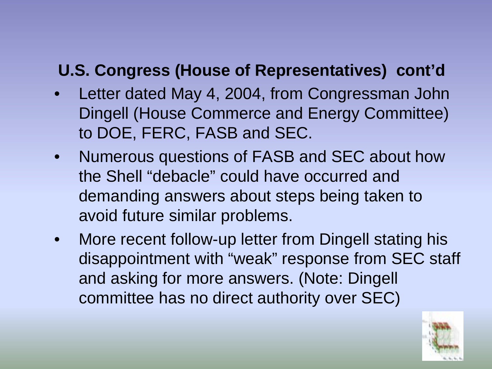### **U.S. Congress (House of Representatives) cont'd**

- $\bullet$  Letter dated May 4, 2004, from Congressman John Dingell (House Commerce and Energy Committee) to DOE, FERC, FASB and SEC.
- • Numerous questions of FASB and SEC about how the Shell "debacle" could have occurred and demanding answers about steps being taken to avoid future similar problems.
- More recent follow-up letter from Dingell stating his disappointment with "weak" response from SEC staff and asking for more answers. (Note: Dingell committee has no direct authority over SEC)

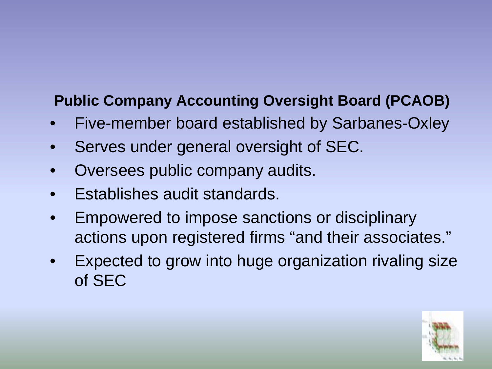#### **Public Company Accounting Oversight Board (PCAOB)**

- $\bullet$ Five-member board established by Sarbanes-Oxley
- $\bullet$ Serves under general oversight of SEC.
- $\bullet$ Oversees public company audits.
- $\bullet$ Establishes audit standards.
- $\bullet$  Empowered to impose sanctions or disciplinary actions upon registered firms "and their associates."
- • Expected to grow into huge organization rivaling size of SEC

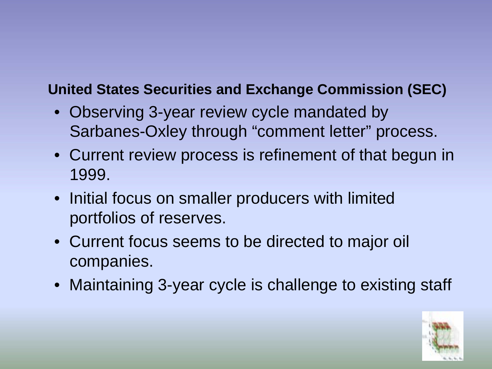#### **United States Securities and Exchange Commission (SEC)**

- Observing 3-year review cycle mandated by Sarbanes-Oxley through "comment letter" process.
- Current review process is refinement of that begun in 1999.
- Initial focus on smaller producers with limited portfolios of reserves.
- Current focus seems to be directed to major oil companies.
- Maintaining 3-year cycle is challenge to existing staff

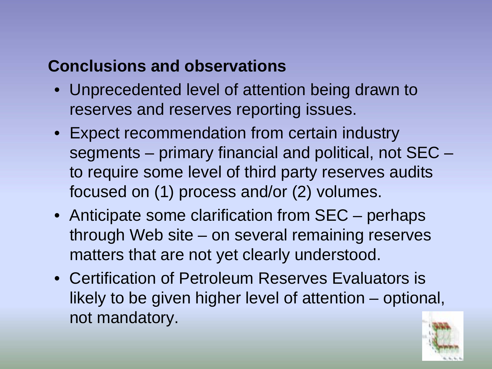#### **Conclusions and observations**

- Unprecedented level of attention being drawn to reserves and reserves reporting issues.
- Expect recommendation from certain industry segments – primary financial and political, not SEC – to require some level of third party reserves audits focused on (1) process and/or (2) volumes.
- Anticipate some clarification from SEC perhaps through Web site – on several remaining reserves matters that are not yet clearly understood.
- Certification of Petroleum Reserves Evaluators is likely to be given higher level of attention – optional, not mandatory.